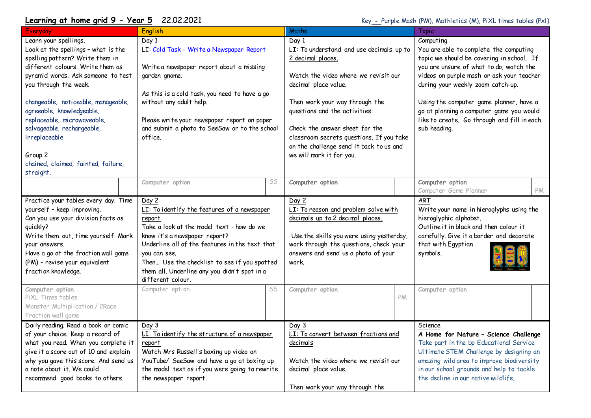## **Learning at home grid 9 - Year 5** 22.02.2021 Key - Purple Mash (PM), Mathletics (M), PiXL times tables (Pxl)

| Everyday                                                                                                                                                                                                                                                                                                                                                                                                            | English                                                                                                                                                                                                                                                                                                                             |    | Maths                                                                                                                                                                                                                                                                                                                                                          |    | Topic                                                                                                                                                                                                                                                                                                                                                                               |    |
|---------------------------------------------------------------------------------------------------------------------------------------------------------------------------------------------------------------------------------------------------------------------------------------------------------------------------------------------------------------------------------------------------------------------|-------------------------------------------------------------------------------------------------------------------------------------------------------------------------------------------------------------------------------------------------------------------------------------------------------------------------------------|----|----------------------------------------------------------------------------------------------------------------------------------------------------------------------------------------------------------------------------------------------------------------------------------------------------------------------------------------------------------------|----|-------------------------------------------------------------------------------------------------------------------------------------------------------------------------------------------------------------------------------------------------------------------------------------------------------------------------------------------------------------------------------------|----|
| Learn your spellings.<br>Look at the spellings - what is the<br>spelling pattern? Write them in<br>different colours. Write them as<br>pyramid words. Ask someone to test<br>you through the week.<br>changeable, noticeable, manageable,<br>agreeable, knowledgeable,<br>replaceable, microwaveable,<br>salvageable, rechargeable,<br>irreplaceable<br>Group 2<br>chained, claimed, fainted, failure,<br>straight. | Day 1<br>LI: Cold Task - Write a Newspaper Report<br>Write a newspaper report about a missing<br>garden gnome.<br>As this is a cold task, you need to have a go<br>without any adult help.<br>Please write your newspaper report on paper<br>and submit a photo to SeeSaw or to the school<br>office.                               |    | Day 1<br>LI: To understand and use decimals up to<br>2 decimal places.<br>Watch the video where we revisit our<br>decimal place value.<br>Then work your way through the<br>questions and the activities.<br>Check the answer sheet for the<br>classroom secrets questions. If you take<br>on the challenge send it back to us and<br>we will mark it for you. |    | Computing<br>You are able to complete the computing<br>topic we should be covering in school. If<br>you are unsure of what to do, watch the<br>videos on purple mash or ask your teacher<br>during your weekly zoom catch-up.<br>Using the computer game planner, have a<br>go at planning a computer game you would<br>like to create. Go through and fill in each<br>sub heading. |    |
|                                                                                                                                                                                                                                                                                                                                                                                                                     | Computer option                                                                                                                                                                                                                                                                                                                     | SS | Computer option                                                                                                                                                                                                                                                                                                                                                |    | Computer option<br>Computer Game Planner                                                                                                                                                                                                                                                                                                                                            | PM |
| Practice your tables every day. Time<br>yourself - keep improving.<br>Can you use your division facts as<br>quickly?<br>Write them out, time yourself. Mark<br>your answers.<br>Have a go at the fraction wall game<br>(PM) - revise your equivalent<br>fraction knowledge.                                                                                                                                         | Day 2<br>LI: To identify the features of a newspaper<br>report<br>Take a look at the model text - how do we<br>know it's a newspaper report?<br>Underline all of the features in the text that<br>you can see.<br>Then Use the checklist to see if you spotted<br>them all. Underline any you didn't spot in a<br>different colour. |    | Day 2<br>LI: To reason and problem solve with<br>decimals up to 2 decimal places.<br>Use the skills you were using yesterday,<br>work through the questions, check your<br>answers and send us a photo of your<br>work.                                                                                                                                        |    | <b>ART</b><br>Write your name in hieroglyphs using the<br>hieroglyphic alphabet.<br>Outline it in black and then colour it<br>carefully. Give it a border and decorate<br>that with Egyptian<br>symbols.                                                                                                                                                                            |    |
| Computer option<br>PiXL Times tables<br>Monster Multiplication / 2Race<br>Fraction wall game                                                                                                                                                                                                                                                                                                                        | Computer option                                                                                                                                                                                                                                                                                                                     | SS | Computer option                                                                                                                                                                                                                                                                                                                                                | PM | Computer option                                                                                                                                                                                                                                                                                                                                                                     |    |
| Daily reading. Read a book or comic<br>of your choice. Keep a record of<br>what you read. When you complete it<br>give it a score out of 10 and explain<br>why you gave this score. And send us<br>a note about it. We could<br>recommend good books to others.                                                                                                                                                     | Day 3<br>LI: To identify the structure of a newspaper<br>report<br>Watch Mrs Russell's boxing up video on<br>YouTube/ SeeSaw and have a go at boxing up<br>the model text as if you were going to rewrite<br>the newspaper report.                                                                                                  |    | Day 3<br>LI: To convert between fractions and<br>decimals<br>Watch the video where we revisit our<br>decimal place value.<br>Then work your way through the                                                                                                                                                                                                    |    | Science<br>A Home for Nature - Science Challenge<br>Take part in the bp Educational Service<br>Ultimate STEM Challenge by designing an<br>amazing wild area to improve biodiversity<br>in our school grounds and help to tackle<br>the decline in our native wildlife.                                                                                                              |    |